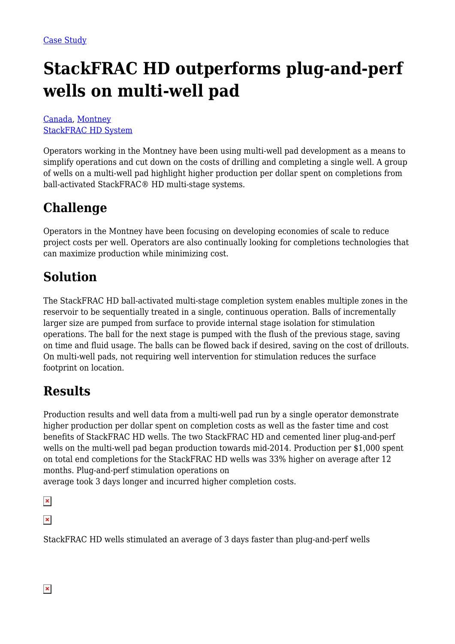## **StackFRAC HD outperforms plug-and-perf wells on multi-well pad**

[Canada,](https://packersplus.com/proven-performance/?region=canada#listing) [Montney](https://packersplus.com/proven-performance/?formation=montney#listing) [StackFRAC HD System](https://packersplus.com/proven-performance/?system=stackfrac-hd-system#listing)

Operators working in the Montney have been using multi-well pad development as a means to simplify operations and cut down on the costs of drilling and completing a single well. A group of wells on a multi-well pad highlight higher production per dollar spent on completions from ball-activated StackFRAC® HD multi-stage systems.

## **Challenge**

Operators in the Montney have been focusing on developing economies of scale to reduce project costs per well. Operators are also continually looking for completions technologies that can maximize production while minimizing cost.

## **Solution**

The StackFRAC HD ball-activated multi-stage completion system enables multiple zones in the reservoir to be sequentially treated in a single, continuous operation. Balls of incrementally larger size are pumped from surface to provide internal stage isolation for stimulation operations. The ball for the next stage is pumped with the flush of the previous stage, saving on time and fluid usage. The balls can be flowed back if desired, saving on the cost of drillouts. On multi-well pads, not requiring well intervention for stimulation reduces the surface footprint on location.

## **Results**

Production results and well data from a multi-well pad run by a single operator demonstrate higher production per dollar spent on completion costs as well as the faster time and cost benefits of StackFRAC HD wells. The two StackFRAC HD and cemented liner plug-and-perf wells on the multi-well pad began production towards mid-2014. Production per \$1,000 spent on total end completions for the StackFRAC HD wells was 33% higher on average after 12 months. Plug-and-perf stimulation operations on

average took 3 days longer and incurred higher completion costs.

 $\pmb{\times}$ 

StackFRAC HD wells stimulated an average of 3 days faster than plug-and-perf wells

 $\pmb{\times}$